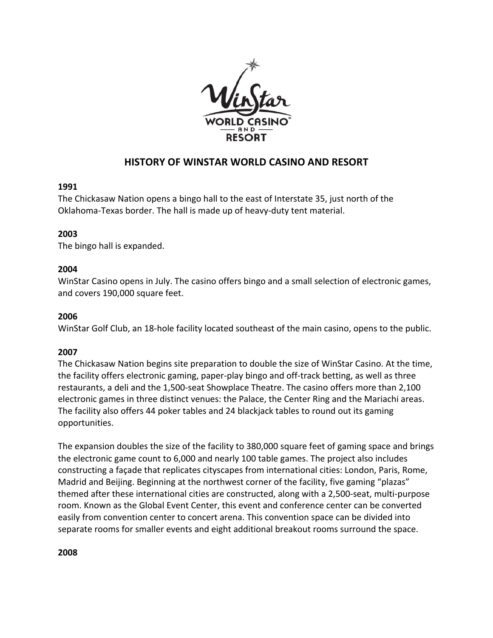

# **HISTORY OF WINSTAR WORLD CASINO AND RESORT**

## **1991**

The Chickasaw Nation opens a bingo hall to the east of Interstate 35, just north of the Oklahoma-Texas border. The hall is made up of heavy-duty tent material.

# **2003**

The bingo hall is expanded.

## **2004**

WinStar Casino opens in July. The casino offers bingo and a small selection of electronic games, and covers 190,000 square feet.

#### **2006**

WinStar Golf Club, an 18-hole facility located southeast of the main casino, opens to the public.

# **2007**

The Chickasaw Nation begins site preparation to double the size of WinStar Casino. At the time, the facility offers electronic gaming, paper-play bingo and off-track betting, as well as three restaurants, a deli and the 1,500-seat Showplace Theatre. The casino offers more than 2,100 electronic games in three distinct venues: the Palace, the Center Ring and the Mariachi areas. The facility also offers 44 poker tables and 24 blackjack tables to round out its gaming opportunities. 

The expansion doubles the size of the facility to 380,000 square feet of gaming space and brings the electronic game count to 6,000 and nearly 100 table games. The project also includes constructing a façade that replicates cityscapes from international cities: London, Paris, Rome, Madrid and Beijing. Beginning at the northwest corner of the facility, five gaming "plazas" themed after these international cities are constructed, along with a 2,500-seat, multi-purpose room. Known as the Global Event Center, this event and conference center can be converted easily from convention center to concert arena. This convention space can be divided into separate rooms for smaller events and eight additional breakout rooms surround the space.

#### **2008**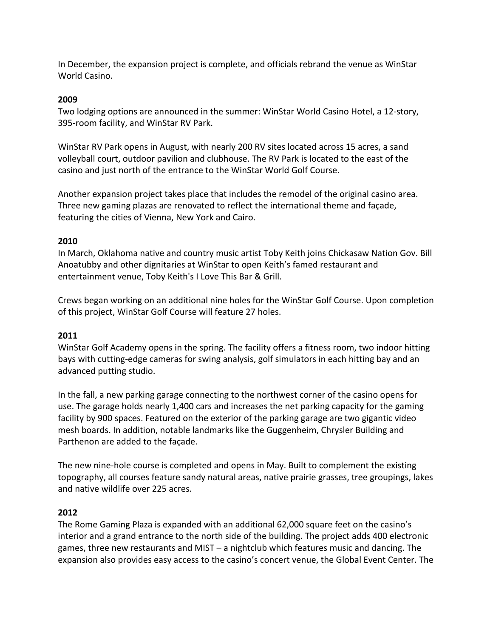In December, the expansion project is complete, and officials rebrand the venue as WinStar World Casino.

## **2009**

Two lodging options are announced in the summer: WinStar World Casino Hotel, a 12-story, 395-room facility, and WinStar RV Park.

WinStar RV Park opens in August, with nearly 200 RV sites located across 15 acres, a sand volleyball court, outdoor pavilion and clubhouse. The RV Park is located to the east of the casino and just north of the entrance to the WinStar World Golf Course.

Another expansion project takes place that includes the remodel of the original casino area. Three new gaming plazas are renovated to reflect the international theme and façade, featuring the cities of Vienna, New York and Cairo.

## **2010**

In March, Oklahoma native and country music artist Toby Keith joins Chickasaw Nation Gov. Bill Anoatubby and other dignitaries at WinStar to open Keith's famed restaurant and entertainment venue, Toby Keith's I Love This Bar & Grill.

Crews began working on an additional nine holes for the WinStar Golf Course. Upon completion of this project, WinStar Golf Course will feature 27 holes.

#### **2011**

WinStar Golf Academy opens in the spring. The facility offers a fitness room, two indoor hitting bays with cutting-edge cameras for swing analysis, golf simulators in each hitting bay and an advanced putting studio.

In the fall, a new parking garage connecting to the northwest corner of the casino opens for use. The garage holds nearly 1,400 cars and increases the net parking capacity for the gaming facility by 900 spaces. Featured on the exterior of the parking garage are two gigantic video mesh boards. In addition, notable landmarks like the Guggenheim, Chrysler Building and Parthenon are added to the façade.

The new nine-hole course is completed and opens in May. Built to complement the existing topography, all courses feature sandy natural areas, native prairie grasses, tree groupings, lakes and native wildlife over 225 acres.

#### **2012**

The Rome Gaming Plaza is expanded with an additional 62,000 square feet on the casino's interior and a grand entrance to the north side of the building. The project adds 400 electronic games, three new restaurants and MIST – a nightclub which features music and dancing. The expansion also provides easy access to the casino's concert venue, the Global Event Center. The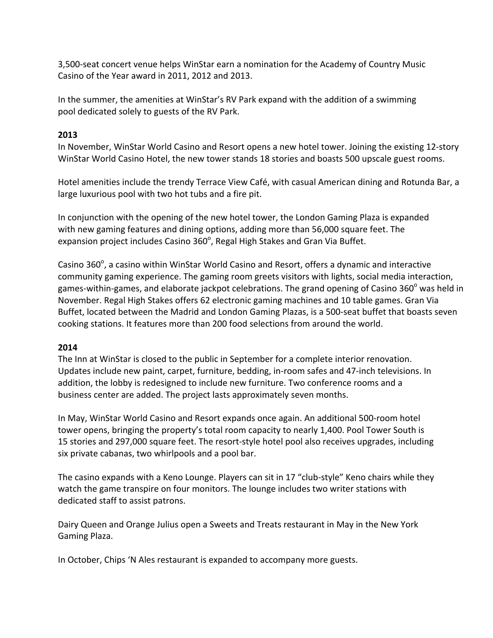3,500-seat concert venue helps WinStar earn a nomination for the Academy of Country Music Casino of the Year award in 2011, 2012 and 2013.

In the summer, the amenities at WinStar's RV Park expand with the addition of a swimming pool dedicated solely to guests of the RV Park.

# **2013**

In November, WinStar World Casino and Resort opens a new hotel tower. Joining the existing 12-story WinStar World Casino Hotel, the new tower stands 18 stories and boasts 500 upscale guest rooms.

Hotel amenities include the trendy Terrace View Café, with casual American dining and Rotunda Bar, a large luxurious pool with two hot tubs and a fire pit.

In conjunction with the opening of the new hotel tower, the London Gaming Plaza is expanded with new gaming features and dining options, adding more than 56,000 square feet. The expansion project includes Casino 360 $^{\circ}$ , Regal High Stakes and Gran Via Buffet.

Casino 360 $^{\circ}$ , a casino within WinStar World Casino and Resort, offers a dynamic and interactive community gaming experience. The gaming room greets visitors with lights, social media interaction, games-within-games, and elaborate jackpot celebrations. The grand opening of Casino 360 $^{\circ}$  was held in November. Regal High Stakes offers 62 electronic gaming machines and 10 table games. Gran Via Buffet, located between the Madrid and London Gaming Plazas, is a 500-seat buffet that boasts seven cooking stations. It features more than 200 food selections from around the world.

# **2014**

The Inn at WinStar is closed to the public in September for a complete interior renovation. Updates include new paint, carpet, furniture, bedding, in-room safes and 47-inch televisions. In addition, the lobby is redesigned to include new furniture. Two conference rooms and a business center are added. The project lasts approximately seven months.

In May, WinStar World Casino and Resort expands once again. An additional 500-room hotel tower opens, bringing the property's total room capacity to nearly 1,400. Pool Tower South is 15 stories and 297,000 square feet. The resort-style hotel pool also receives upgrades, including six private cabanas, two whirlpools and a pool bar.

The casino expands with a Keno Lounge. Players can sit in 17 "club-style" Keno chairs while they watch the game transpire on four monitors. The lounge includes two writer stations with dedicated staff to assist patrons.

Dairy Queen and Orange Julius open a Sweets and Treats restaurant in May in the New York Gaming Plaza.

In October, Chips 'N Ales restaurant is expanded to accompany more guests.